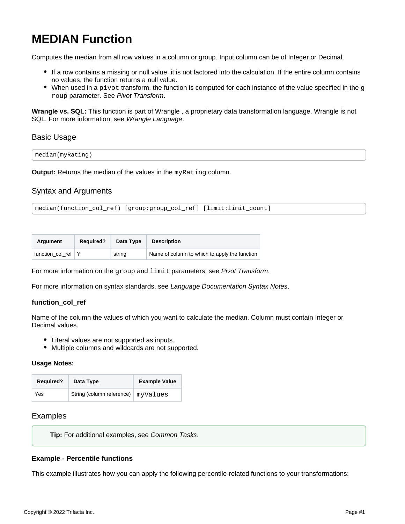# <span id="page-0-0"></span>**MEDIAN Function**

Computes the median from all row values in a column or group. Input column can be of Integer or Decimal.

- If a row contains a missing or null value, it is not factored into the calculation. If the entire column contains no values, the function returns a null value.
- $\bullet$  When used in a pivot transform, the function is computed for each instance of the value specified in the g roup parameter. See [Pivot Transform](https://docs.trifacta.com/display/r087/Pivot+Transform).

**Wrangle vs. SQL:** This function is part of Wrangle , a proprietary data transformation language. Wrangle is not SQL. For more information, see [Wrangle Language](https://docs.trifacta.com/display/r087/Wrangle+Language).

## Basic Usage

median(myRating)

**Output:** Returns the median of the values in the myRating column.

# Syntax and Arguments

median(function\_col\_ref) [group:group\_col\_ref] [limit:limit\_count]

| Argument           | <b>Required?</b> | Data Type | <b>Description</b>                            |  |
|--------------------|------------------|-----------|-----------------------------------------------|--|
| function col ref Y |                  | string    | Name of column to which to apply the function |  |

For more information on the group and limit parameters, see [Pivot Transform](https://docs.trifacta.com/display/r087/Pivot+Transform).

For more information on syntax standards, see [Language Documentation Syntax Notes](https://docs.trifacta.com/display/r087/Language+Documentation+Syntax+Notes).

### **function\_col\_ref**

Name of the column the values of which you want to calculate the median. Column must contain Integer or Decimal values.

- Literal values are not supported as inputs.
- Multiple columns and wildcards are not supported.

#### **Usage Notes:**

| <b>Required?</b> | Data Type                            | <b>Example Value</b> |
|------------------|--------------------------------------|----------------------|
| Yes              | String (column reference)   myValues |                      |

## Examples

**Tip:** For additional examples, see [Common Tasks](https://docs.trifacta.com/display/r087/Common+Tasks).

### **Example - Percentile functions**

This example illustrates how you can apply the following percentile-related functions to your transformations: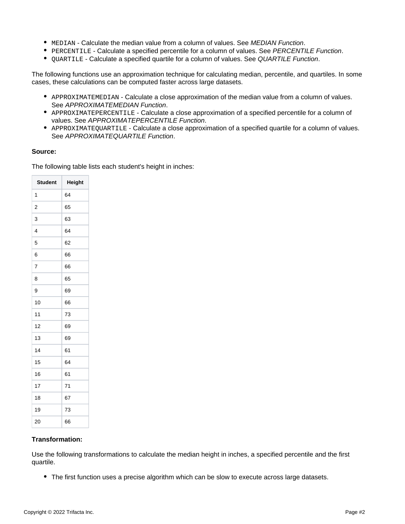- $\bullet$  MEDIAN Calculate the median value from a column of values. See [MEDIAN Function](#page-0-0).
- **PERCENTILE Calculate a specified percentile for a column of values. See [PERCENTILE Function](https://docs.trifacta.com/display/r087/PERCENTILE+Function).**
- $\bullet$  QUARTILE Calculate a specified quartile for a column of values. See [QUARTILE Function](https://docs.trifacta.com/display/r087/QUARTILE+Function).

The following functions use an approximation technique for calculating median, percentile, and quartiles. In some cases, these calculations can be computed faster across large datasets.

- APPROXIMATEMEDIAN Calculate a close approximation of the median value from a column of values. See [APPROXIMATEMEDIAN Function](https://docs.trifacta.com/display/r087/APPROXIMATEMEDIAN+Function).
- APPROXIMATEPERCENTILE Calculate a close approximation of a specified percentile for a column of values. See [APPROXIMATEPERCENTILE Function](https://docs.trifacta.com/display/r087/APPROXIMATEPERCENTILE+Function).
- APPROXIMATEQUARTILE Calculate a close approximation of a specified quartile for a column of values. See [APPROXIMATEQUARTILE Function](https://docs.trifacta.com/display/r087/APPROXIMATEQUARTILE+Function).

#### **Source:**

The following table lists each student's height in inches:

| <b>Student</b> | Height |
|----------------|--------|
| 1              | 64     |
| $\overline{2}$ | 65     |
| 3              | 63     |
| 4              | 64     |
| 5              | 62     |
| 6              | 66     |
| 7              | 66     |
| 8              | 65     |
| 9              | 69     |
| 10             | 66     |
| 11             | 73     |
| 12             | 69     |
| 13             | 69     |
| 14             | 61     |
| 15             | 64     |
| 16             | 61     |
| 17             | 71     |
| 18             | 67     |
| 19             | 73     |
| 20             | 66     |

### **Transformation:**

Use the following transformations to calculate the median height in inches, a specified percentile and the first quartile.

• The first function uses a precise algorithm which can be slow to execute across large datasets.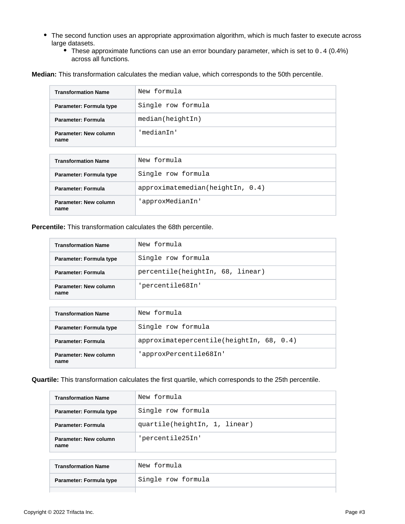- The second function uses an appropriate approximation algorithm, which is much faster to execute across large datasets.
	- These approximate functions can use an error boundary parameter, which is set to 0.4 (0.4%) across all functions.

**Median:** This transformation calculates the median value, which corresponds to the 50th percentile.

| <b>Transformation Name</b>    | New formula        |
|-------------------------------|--------------------|
| Parameter: Formula type       | Single row formula |
| <b>Parameter: Formula</b>     | median(heightIn)   |
| Parameter: New column<br>name | 'medianIn'         |
|                               |                    |
|                               | $ -$               |

| <b>Transformation Name</b>    | New formula                  |
|-------------------------------|------------------------------|
| Parameter: Formula type       | Single row formula           |
| Parameter: Formula            | approximation(heightIn, 0.4) |
| Parameter: New column<br>name | 'approxMedianIn'             |

**Percentile:** This transformation calculates the 68th percentile.

| <b>Transformation Name</b>    | New formula                      |
|-------------------------------|----------------------------------|
| Parameter: Formula type       | Single row formula               |
| Parameter: Formula            | percentile(heightIn, 68, linear) |
| Parameter: New column<br>name | 'percentile68In'                 |

| <b>Transformation Name</b>    | New formula                                  |
|-------------------------------|----------------------------------------------|
| Parameter: Formula type       | Single row formula                           |
| Parameter: Formula            | $approximate percentage$ (heightIn, 68, 0.4) |
| Parameter: New column<br>name | 'approxPercentile68In'                       |

**Quartile:** This transformation calculates the first quartile, which corresponds to the 25th percentile.

| <b>Transformation Name</b>    | New formula                   |
|-------------------------------|-------------------------------|
| Parameter: Formula type       | Single row formula            |
| Parameter: Formula            | quartile(heightIn, 1, linear) |
| Parameter: New column<br>name | 'percentile25In'              |

| <b>Transformation Name</b> | New formula        |
|----------------------------|--------------------|
| Parameter: Formula type    | Single row formula |
|                            |                    |